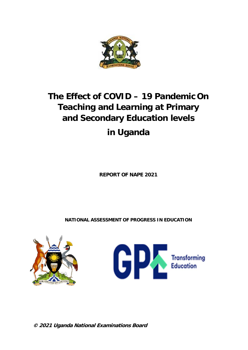

# **The Effect of COVID – 19 Pandemic On Teaching and Learning at Primary and Secondary Education levels in Uganda**

**REPORT OF NAPE 2021**

**NATIONAL ASSESSMENT OF PROGRESS IN EDUCATION** 





**© 2021 Uganda National Examinations Board**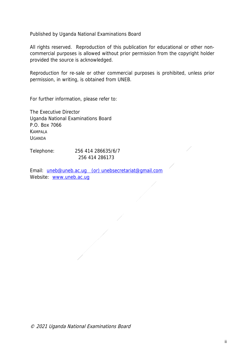Published by Uganda National Examinations Board

All rights reserved. Reproduction of this publication for educational or other noncommercial purposes is allowed without prior permission from the copyright holder provided the source is acknowledged.

Reproduction for re-sale or other commercial purposes is prohibited, unless prior permission, in writing, is obtained from UNEB.

For further information, please refer to:

The Executive Director Uganda National Examinations Board P.O. Box 7066 **KAMPALA** UGANDA

Telephone: 256 414 286635/6/7 256 414 286173

Email: uneb@uneb.ac.ug (or) unebsecretariat@gmail.com Website: www.uneb.ac.ug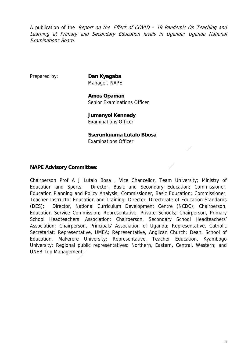A publication of the Report on the Effect of COVID - 19 Pandemic On Teaching and Learning at Primary and Secondary Education levels in Uganda; Uganda National Examinations Board.

Prepared by: **Dan Kyagaba** Manager, NAPE

> **Amos Opaman** Senior Examinations Officer

**Jumanyol Kennedy** Examinations Officer

#### **Sserunkuuma Lutalo Bbosa** Examinations Officer

## **NAPE Advisory Committee:**

Chairperson Prof A J Lutalo Bosa , Vice Chancellor, Team University; Ministry of Education and Sports: Director, Basic and Secondary Education; Commissioner, Education Planning and Policy Analysis; Commissioner, Basic Education; Commissioner, Teacher Instructor Education and Training; Director, Directorate of Education Standards (DES); Director, National Curriculum Development Centre (NCDC); Chairperson, Education Service Commission; Representative, Private Schools; Chairperson, Primary School Headteachers' Association; Chairperson, Secondary School Headteachers' Association; Chairperson, Principals' Association of Uganda; Representative, Catholic Secretariat; Representative, UMEA; Representative, Anglican Church; Dean, School of Education, Makerere University; Representative, Teacher Education, Kyambogo University; Regional public representatives: Northern, Eastern, Central, Western; and UNEB Top Management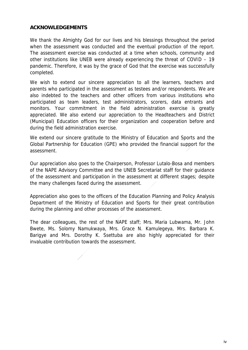#### **ACKNOWLEDGEMENTS**

We thank the Almighty God for our lives and his blessings throughout the period when the assessment was conducted and the eventual production of the report. The assessment exercise was conducted at a time when schools, community and other institutions like UNEB were already experiencing the threat of COVID – 19 pandemic. Therefore, it was by the grace of God that the exercise was successfully completed.

We wish to extend our sincere appreciation to all the learners, teachers and parents who participated in the assessment as testees and/or respondents. We are also indebted to the teachers and other officers from various institutions who participated as team leaders, test administrators, scorers, data entrants and monitors. Your commitment in the field administration exercise is greatly appreciated. We also extend our appreciation to the Headteachers and District (Municipal) Education officers for their organization and cooperation before and during the field administration exercise.

We extend our sincere gratitude to the Ministry of Education and Sports and the Global Partnership for Education (GPE) who provided the financial support for the assessment.

Our appreciation also goes to the Chairperson, Professor Lutalo-Bosa and members of the NAPE Advisory Committee and the UNEB Secretariat staff for their guidance of the assessment and participation in the assessment at different stages; despite the many challenges faced during the assessment.

Appreciation also goes to the officers of the Education Planning and Policy Analysis Department of the Ministry of Education and Sports for their great contribution during the planning and other processes of the assessment.

The dear colleagues, the rest of the NAPE staff; Mrs. Maria Lubwama, Mr. John Bwete, Ms. Solomy Namukwaya, Mrs. Grace N. Kamulegeya, Mrs. Barbara K. Barigye and Mrs. Dorothy K. Ssettuba are also highly appreciated for their invaluable contribution towards the assessment.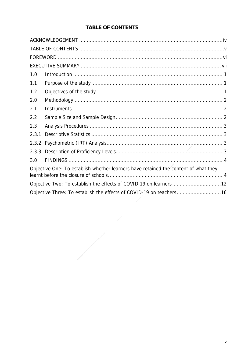# **TABLE OF CONTENTS**

| 1.0   |                                                                                     |
|-------|-------------------------------------------------------------------------------------|
| 1.1   |                                                                                     |
| 1.2   |                                                                                     |
| 2.0   |                                                                                     |
| 2.1   |                                                                                     |
| 2.2   |                                                                                     |
| 2.3   |                                                                                     |
| 2.3.1 |                                                                                     |
| 2.3.2 |                                                                                     |
| 2.3.3 |                                                                                     |
| 3.0   |                                                                                     |
|       | Objective One: To establish whether learners have retained the content of what they |
|       |                                                                                     |
|       | Objective Three: To establish the effects of COVID-19 on teachers16                 |

 $\frac{1}{\sqrt{2}}$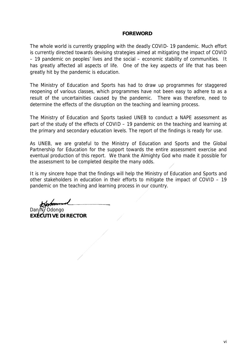#### **FOREWORD**

The whole world is currently grappling with the deadly COVID- 19 pandemic. Much effort is currently directed towards devising strategies aimed at mitigating the impact of COVID – 19 pandemic on peoples' lives and the social – economic stability of communities. It has greatly affected all aspects of life. One of the key aspects of life that has been greatly hit by the pandemic is education.

The Ministry of Education and Sports has had to draw up programmes for staggered reopening of various classes, which programmes have not been easy to adhere to as a result of the uncertainities caused by the pandemic. There was therefore, need to determine the effects of the disruption on the teaching and learning process.

The Ministry of Education and Sports tasked UNEB to conduct a NAPE assessment as part of the study of the effects of COVID – 19 pandemic on the teaching and learning at the primary and secondary education levels. The report of the findings is ready for use.

As UNEB, we are grateful to the Ministry of Education and Sports and the Global Partnership for Education for the support towards the entire assessment exercise and eventual production of this report. We thank the Almighty God who made it possible for the assessment to be completed despite the many odds.

It is my sincere hope that the findings will help the Ministry of Education and Sports and other stakeholders in education in their efforts to mitigate the impact of COVID – 19 pandemic on the teaching and learning process in our country.

Odongo **EXECUTIVE DIRECTOR**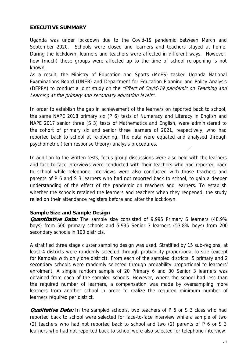## **EXECUTIVE SUMMARY**

Uganda was under lockdown due to the Covid-19 pandemic between March and September 2020. Schools were closed and learners and teachers stayed at home. During the lockdown, learners and teachers were affected in different ways. However, how (much) these groups were affected up to the time of school re-opening is not known.

As a result, the Ministry of Education and Sports (MoES) tasked Uganda National Examinations Board (UNEB) and Department for Education Planning and Policy Analysis (DEPPA) to conduct a joint study on the "Effect of Covid-19 pandemic on Teaching and Learning at the primary and secondary education levels".

In order to establish the gap in achievement of the learners on reported back to school, the same NAPE 2018 primary six (P 6) tests of Numeracy and Literacy in English and NAPE 2017 senior three (S 3) tests of Mathematics and English, were administered to the cohort of primary six and senior three learners of 2021, respectively, who had reported back to school at re-opening. The data were equated and analysed through psychometric (item response theory) analysis procedures.

In addition to the written tests, focus group discussions were also held with the learners and face-to-face interviews were conducted with their teachers who had reported back to school while telephone interviews were also conducted with those teachers and parents of P 6 and S 3 learners who had not reported back to school, to gain a deeper understanding of the effect of the pandemic on teachers and learners. To establish whether the schools retained the learners and teachers when they reopened, the study relied on their attendance registers before and after the lockdown.

#### **Sample Size and Sample Design**

**Quantitative Data:** The sample size consisted of 9,995 Primary 6 learners (48.9% boys) from 500 primary schools and 5,935 Senior 3 learners (53.8% boys) from 200 secondary schools in 100 districts.

A stratified three stage cluster sampling design was used. Stratified by 15 sub-regions, at least 4 districts were randomly selected through probability proportional to size (except for Kampala with only one district). From each of the sampled districts, 5 primary and 2 secondary schools were randomly selected through probability proportional to learners' enrolment. A simple random sample of 20 Primary 6 and 30 Senior 3 learners was obtained from each of the sampled schools. However, where the school had less than the required number of learners, a compensation was made by oversampling more learners from another school in order to realize the required minimum number of learners required per district.

**Qualitative Data:** In the sampled schools, two teachers of P 6 or S 3 class who had reported back to school were selected for face-to-face interview while a sample of two (2) teachers who had not reported back to school and two (2) parents of P 6 or S 3 learners who had not reported back to school were also selected for telephone interview.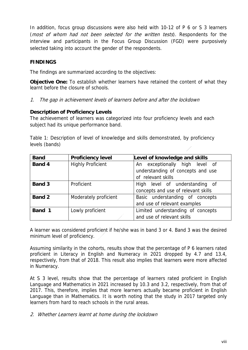In addition, focus group discussions were also held with 10-12 of P 6 or S 3 learners (most of whom had not been selected for the written tests). Respondents for the interview and participants in the Focus Group Discussion (FGD) were purposively selected taking into account the gender of the respondents.

# **FINDINGS**

The findings are summarized according to the objectives:

**Objective One:** To establish whether learners have retained the content of what they learnt before the closure of schools.

1. The gap in achievement levels of learners before and after the lockdown

## **Description of Proficiency Levels**

The achievement of learners was categorized into four proficiency levels and each subject had its unique performance band.

Table 1: Description of level of knowledge and skills demonstrated, by proficiency levels (bands)

| <b>Band</b>   | <b>Proficiency level</b> | Level of knowledge and skills                                                             |
|---------------|--------------------------|-------------------------------------------------------------------------------------------|
| <b>Band 4</b> | <b>Highly Proficient</b> | An exceptionally high level of<br>understanding of concepts and use<br>of relevant skills |
| <b>Band 3</b> | Proficient               | High level of understanding of<br>concepts and use of relevant skills                     |
| <b>Band 2</b> | Moderately proficient    | Basic understanding of concepts<br>and use of relevant examples                           |
| Band 1        | Lowly proficient         | Limited understanding of concepts<br>and use of relevant skills                           |

A learner was considered proficient if he/she was in band 3 or 4. Band 3 was the desired minimum level of proficiency.

Assuming similarity in the cohorts, results show that the percentage of P 6 learners rated proficient in Literacy in English and Numeracy in 2021 dropped by 4.7 and 13.4, respectively, from that of 2018. This result also implies that learners were more affected in Numeracy.

At S 3 level, results show that the percentage of learners rated proficient in English Language and Mathematics in 2021 increased by 10.3 and 3.2, respectively, from that of 2017. This, therefore, implies that more learners actually became proficient in English Language than in Mathematics. It is worth noting that the study in 2017 targeted only learners from hard to reach schools in the rural areas.

2. Whether Learners learnt at home during the lockdown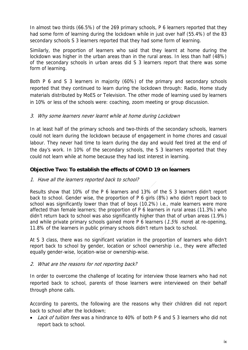In almost two thirds (66.5%) of the 269 primary schools, P 6 learners reported that they had some form of learning during the lockdown while in just over half (55.4%) of the 83 secondary schools S 3 learners reported that they had some form of learning.

Similarly, the proportion of learners who said that they learnt at home during the lockdown was higher in the urban areas than in the rural areas. In less than half (48%) of the secondary schools in urban areas did S 3 learners report that there was some form of learning.

Both P 6 and S 3 learners in majority (60%) of the primary and secondary schools reported that they continued to learn during the lockdown through: Radio, Home study materials distributed by MoES or Television. The other mode of learning used by learners in 10% or less of the schools were: coaching, zoom meeting or group discussion.

## 3. Why some learners never learnt while at home during Lockdown

In at least half of the primary schools and two-thirds of the secondary schools, learners could not learn during the lockdown because of engagement in home chores and casual labour. They never had time to learn during the day and would feel tired at the end of the day's work. In 10% of the secondary schools, the S 3 learners reported that they could not learn while at home because they had lost interest in learning.

## **Objective Two: To establish the effects of COVID 19 on learners**

## 1. Have all the learners reported back to school?

Results show that 10% of the P 6 learners and 13% of the S 3 learners didn't report back to school. Gender wise, the proportion of P 6 girls (8%) who didn't report back to school was significantly lower than that of boys (10.2%) i.e., male learners were more affected than female learners; the proportion of P 6 learners in rural areas (11.3%) who didn't return back to school was also significantly higher than that of urban areas (1.9%) and while private primary schools gained more P 6 learners  $(1.5\%$  more) at re-opening, 11.8% of the learners in public primary schools didn't return back to school.

At S 3 class, there was no significant variation in the proportion of learners who didn't report back to school by gender, location or school ownership i.e., they were affected equally gender-wise, location-wise or ownership-wise.

## 2. What are the reasons for not reporting back?

In order to overcome the challenge of locating for interview those learners who had not reported back to school, parents of those learners were interviewed on their behalf through phone calls.

According to parents, the following are the reasons why their children did not report back to school after the lockdown;

Lack of tuition fees was a hindrance to 40% of both P 6 and S 3 learners who did not report back to school.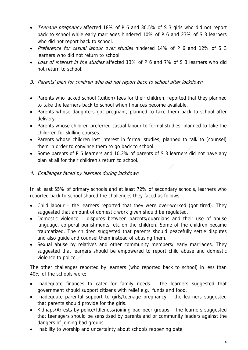- Teenage pregnancy affected 18% of P 6 and 30.5% of S 3 girls who did not report back to school while early marriages hindered 10% of P 6 and 23% of S 3 learners who did not report back to school.
- Preference for casual labour over studies hindered 14% of P 6 and 12% of S 3 learners who did not return to school.
- Loss of interest in the studies affected 13% of P 6 and 7% of S 3 learners who did not return to school.

# 3. Parents' plan for children who did not report back to school after lockdown

- Parents who lacked school (tuition) fees for their children, reported that they planned to take the learners back to school when finances become available.
- Parents whose daughters got pregnant, planned to take them back to school after delivery.
- Parents whose children preferred casual labour to formal studies, planned to take the childrren for skilling courses.
- Parents whose children lost interest in formal studies, planned to talk to (counsel) them in order to convince them to go back to school.
- Some parents of P 6 learners and 10.2% of parents of S 3 learners did not have any plan at all for their children's return to school.
- 4. Challenges faced by learners during lockdown

In at least 55% of primary schools and at least 72% of secondary schools, learners who reported back to school shared the challenges they faced as follows;

- Child labour the learners reported that they were over-worked (got tired). They suggested that amount of domestic work given should be regulated.
- Domestic violence disputes between parents/guardians and their use of abuse language, corporal punishments, etc on the children. Some of the children became traumatized. The children suggested that parents should peacefully settle disputes and also guide and counsel them instead of abusing them.
- Sexual abuse by relatives and other community members/ early marriages. They suggested that learners should be empowered to report child abuse and domestic violence to police.

The other challenges reported by learners (who reported back to school) in less than 40% of the schools were;

- Inadequate finances to cater for family needs the learners suggested that government should support citizens with relief e.g., funds and food.
- Inadequate parental support to girls/teenage pregnancy the learners suggested that parents should provide for the girls.
- Kidnaps/Arrests by police/Idleness/joining bad peer groups the learners suggested that teenagers should be sensitised by parents and or community leaders against the dangers of joining bad groups.
- Inability to worship and uncertainty about schools reopening date.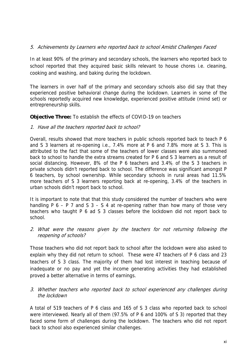## 5. Achievements by Learners who reported back to school Amidst Challenges Faced

In at least 90% of the primary and secondary schools, the learners who reported back to school reported that they acquired basic skills relevant to house chores i.e. cleaning, cooking and washing, and baking during the lockdown.

The learners in over half of the primary and secondary schools also did say that they experienced positive behavioral change during the lockdown. Learners in some of the schools reportedly acquired new knowledge, experienced positive attitude (mind set) or entrepreneurship skills.

#### **Objective Three:** To establish the effects of COVID-19 on teachers

1. Have all the teachers reported back to school?

Overall, results showed that more teachers in public schools reported back to teach P 6 and S 3 learners at re-opening i.e., 7.4% more at P 6 and 7.8% more at S 3. This is attributed to the fact that some of the teachers of lower classes were also summoned back to school to handle the extra streams created for P 6 and S 3 learners as a result of social distancing. However, 8% of the P 6 teachers and 3.4% of the S 3 teachers in private schools didn't reported back to school. The difference was significant amongst P 6 teachers, by school ownership. While secondary schools in rural areas had 11.5% more teachers of S 3 learners reporting back at re-opening, 3.4% of the teachers in urban schools didn't report back to school.

It is important to note that that this study considered the number of teachers who were handling P  $6 - P$  7 and S  $3 - S$  4 at re-opening rather than how many of those very teachers who taught P 6 ad S 3 classes before the lockdown did not report back to school.

2. What were the reasons given by the teachers for not returning following the reopening of schools?

Those teachers who did not report back to school after the lockdown were also asked to explain why they did not return to school. These were 47 teachers of P 6 class and 23 teachers of S 3 class. The majority of them had lost interest in teaching because of inadequate or no pay and yet the income generating activities they had established proved a better alternative in terms of earnings.

3. Whether teachers who reported back to school experienced any challenges during the lockdown

A total of 519 teachers of P 6 class and 165 of S 3 class who reported back to school were interviewed. Nearly all of them (97.5% of P 6 and 100% of S 3) reported that they faced some form of challenges during the lockdown. The teachers who did not report back to school also experienced similar challenges.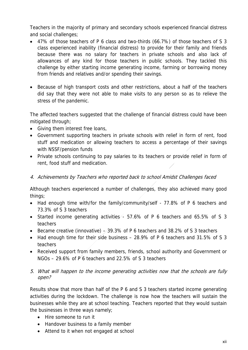Teachers in the majority of primary and secondary schools experienced financial distress and social challenges;

- 47% of those teachers of P 6 class and two-thirds (66.7%) of those teachers of S 3 class experienced inability (financial distress) to provide for their family and friends because there was no salary for teachers in private schools and also lack of allowances of any kind for those teachers in public schools. They tackled this challenge by either starting income generating income, farming or borrowing money from friends and relatives and/or spending their savings.
- Because of high transport costs and other restrictions, about a half of the teachers did say that they were not able to make visits to any person so as to relieve the stress of the pandemic.

The affected teachers suggested that the challenge of financial distress could have been mitigated through;

- Giving them interest free loans,
- Government supporting teachers in private schools with relief in form of rent, food stuff and medication or allowing teachers to access a percentage of their savings with NSSF/pension funds
- Private schools continuing to pay salaries to its teachers or provide relief in form of rent, food stuff and medication.

## 4. Achievements by Teachers who reported back to school Amidst Challenges faced

Although teachers experienced a number of challenges, they also achieved many good things;

- Had enough time with/for the family/community/self 77.8% of P 6 teachers and 73.3% of S 3 teachers
- Started income generating activities  $\sim$  57.6% of P 6 teachers and 65.5% of S 3 teachers
- **Became creative (innovative)**  $-$  39.3% of P 6 teachers and 38.2% of S 3 teachers
- Had enough time for their side business 28.9% of P 6 teachers and 31.5% of S 3 teachers
- Received support from family members, friends, school authority and Government or NGOs – 29.6% of P 6 teachers and 22.5% of S 3 teachers
- 5. What will happen to the income generating activities now that the schools are fully open?

Results show that more than half of the P 6 and S 3 teachers started income generating activities during the lockdown. The challenge is now how the teachers will sustain the businesses while they are at school teaching. Teachers reported that they would sustain the businesses in three ways namely;

- Hire someone to run it
- Handover business to a family member
- Attend to it when not engaged at school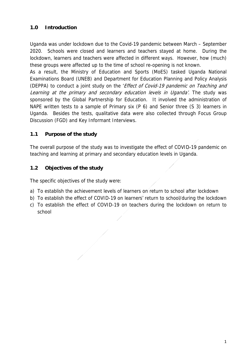# **1.0 Introduction**

Uganda was under lockdown due to the Covid-19 pandemic between March – September 2020. Schools were closed and learners and teachers stayed at home. During the lockdown, learners and teachers were affected in different ways. However, how (much) these groups were affected up to the time of school re-opening is not known.

As a result, the Ministry of Education and Sports (MoES) tasked Uganda National Examinations Board (UNEB) and Department for Education Planning and Policy Analysis (DEPPA) to conduct a joint study on the 'Effect of Covid-19 pandemic on Teaching and Learning at the primary and secondary education levels in Uganda'. The study was sponsored by the Global Partnership for Education. It involved the administration of NAPE written tests to a sample of Primary six (P 6) and Senior three (S 3) learners in Uganda. Besides the tests, qualitative data were also collected through Focus Group Discussion (FGD) and Key Informant Interviews.

# **1.1 Purpose of the study**

The overall purpose of the study was to investigate the effect of COVID-19 pandemic on teaching and learning at primary and secondary education levels in Uganda.

# **1.2 Objectives of the study**

The specific objectives of the study were:

- a) To establish the achievement levels of learners on return to school after lockdown
- b) To establish the effect of COVID-19 on learners' return to school/during the lockdown
- c) To establish the effect of COVID-19 on teachers during the lockdown on return to school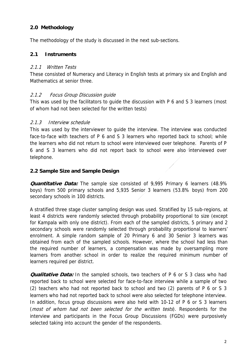# **2.0 Methodology**

The methodology of the study is discussed in the next sub-sections.

## **2.1 Instruments**

## 2.1.1 Written Tests

These consisted of Numeracy and Literacy in English tests at primary six and English and Mathematics at senior three.

## 2.1.2 Focus Group Discussion guide

This was used by the facilitators to guide the discussion with P 6 and S 3 learners (most of whom had not been selected for the written tests)

## 2.1.3 Interview schedule

This was used by the interviewer to guide the interview. The interview was conducted face-to-face with teachers of P 6 and S 3 learners who reported back to school; while the learners who did not return to school were interviewed over telephone. Parents of P 6 and S 3 learners who did not report back to school were also interviewed over telephone.

## **2.2 Sample Size and Sample Design**

**Quantitative Data:** The sample size consisted of 9,995 Primary 6 learners (48.9% boys) from 500 primary schools and 5,935 Senior 3 learners (53.8% boys) from 200 secondary schools in 100 districts.

A stratified three stage cluster sampling design was used. Stratified by 15 sub-regions, at least 4 districts were randomly selected through probability proportional to size (except for Kampala with only one district). From each of the sampled districts, 5 primary and 2 secondary schools were randomly selected through probability proportional to learners' enrolment. A simple random sample of 20 Primary 6 and 30 Senior 3 learners was obtained from each of the sampled schools. However, where the school had less than the required number of learners, a compensation was made by oversampling more learners from another school in order to realize the required minimum number of learners required per district.

**Qualitative Data:** In the sampled schools, two teachers of P 6 or S 3 class who had reported back to school were selected for face-to-face interview while a sample of two (2) teachers who had not reported back to school and two (2) parents of P 6 or S 3 learners who had not reported back to school were also selected for telephone interview. In addition, focus group discussions were also held with 10-12 of P 6 or S 3 learners (most of whom had not been selected for the written tests). Respondents for the interview and participants in the Focus Group Discussions (FGDs) were purposively selected taking into account the gender of the respondents.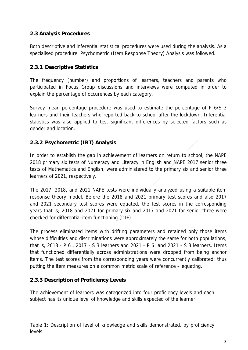# **2.3 Analysis Procedures**

Both descriptive and inferential statistical procedures were used during the analysis. As a specialised procedure, Psychometric (Item Response Theory) Analysis was followed.

# **2.3.1 Descriptive Statistics**

The frequency (number) and proportions of learners, teachers and parents who participated in Focus Group discussions and interviews were computed in order to explain the percentage of occurences by each category.

Survey mean percentage procedure was used to estimate the percentage of P 6/S 3 learners and their teachers who reported back to school after the lockdown. Inferential statistics was also applied to test significant differences by selected factors such as gender and location.

# **2.3.2 Psychometric (IRT) Analysis**

In order to establish the gap in achievement of learners on return to school, the NAPE 2018 primary six tests of Numeracy and Literacy in English and NAPE 2017 senior three tests of Mathematics and English, were administered to the primary six and senior three learners of 2021, respectively.

The 2017, 2018, and 2021 NAPE tests were individually analyzed using a suitable item response theory model. Before the 2018 and 2021 primary test scores and also 2017 and 2021 secondary test scores were equated, the test scores in the corresponding years that is; 2018 and 2021 for primary six and 2017 and 2021 for senior three were checked for differential item functioning (DIF).

The process eliminated items with drifting parameters and retained only those items whose difficulties and discriminations were approximately the same for both populations, that is, 2018 - P 6 , 2017 - S 3 learners and 2021 - P 6 and 2021 - S 3 learners. Items that functioned differentially across administrations were dropped from being anchor items. The test scores from the corresponding years were concurrently calibrated; thus putting the item measures on a common metric scale of reference – equating.

# **2.3.3 Description of Proficiency Levels**

The achievement of learners was categorized into four proficiency levels and each subject has its unique level of knowledge and skills expected of the learner.

Table 1: Description of level of knowledge and skills demonstrated, by proficiency levels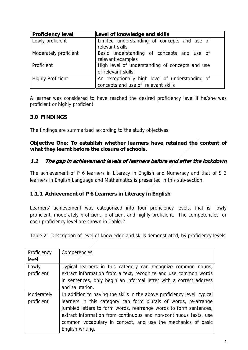| <b>Proficiency level</b> | Level of knowledge and skills                                                          |
|--------------------------|----------------------------------------------------------------------------------------|
| Lowly proficient         | Limited understanding of concepts and use of<br>relevant skills                        |
| Moderately proficient    | Basic understanding of concepts and use of<br>relevant examples                        |
| Proficient               | High level of understanding of concepts and use<br>of relevant skills                  |
| <b>Highly Proficient</b> | An exceptionally high level of understanding of<br>concepts and use of relevant skills |

A learner was considered to have reached the desired proficiency level if he/she was proficient or highly proficient.

# **3.0 FINDINGS**

The findings are summarized according to the study objectives:

**Objective One: To establish whether learners have retained the content of what they learnt before the closure of schools.** 

## **1.1 The gap in achievement levels of learners before and after the lockdown**

The achievement of P 6 learners in Literacy in English and Numeracy and that of S 3 learners in English Language and Mathematics is presented in this sub-section.

## **1.1.1 Achievement of P 6 Learners in Literacy in English**

Learners' achievement was categorized into four proficiency levels, that is, lowly proficient, moderately proficient, proficient and highly proficient. The competencies for each proficiency level are shown in Table 2.

Table 2: Description of level of knowledge and skills demonstrated, by proficiency levels

| Proficiency | Competencies                                                             |
|-------------|--------------------------------------------------------------------------|
| level       |                                                                          |
| Lowly       | Typical learners in this category can recognize common nouns,            |
| proficient  | extract information from a text, recognize and use common words          |
|             | in sentences, only begin an informal letter with a correct address       |
|             | and salutation.                                                          |
| Moderately  | In addition to having the skills in the above proficiency level, typical |
| proficient  | learners in this category can form plurals of words, re-arrange          |
|             | jumbled letters to form words, rearrange words to form sentences,        |
|             | extract information from continuous and non-continuous texts, use        |
|             | common vocabulary in context, and use the mechanics of basic             |
|             | English writing.                                                         |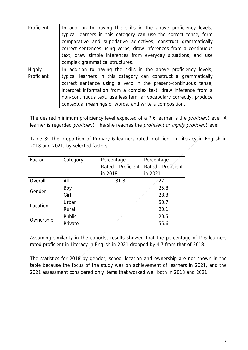| Proficient    | In addition to having the skills in the above proficiency levels,    |
|---------------|----------------------------------------------------------------------|
|               | typical learners in this category can use the correct tense, form    |
|               | comparative and superlative adjectives, construct grammatically      |
|               | correct sentences using verbs, draw inferences from a continuous     |
|               | text, draw simple inferences from everyday situations, and use       |
|               | complex grammatical structures.                                      |
| <b>Highly</b> | In addition to having the skills in the above proficiency levels,    |
| Proficient    | typical learners in this category can construct a grammatically      |
|               | correct sentence using a verb in the present-continuous tense,       |
|               | interpret information from a complex text, draw inference from a     |
|               | non-continuous text, use less familiar vocabulary correctly, produce |
|               | contextual meanings of words, and write a composition.               |

The desired minimum proficiency level expected of a P 6 learner is the *proficient* level. A learner is regarded *proficient* if he/she reaches the *proficient or highly proficient* level.

| Table 3: The proportion of Primary 6 learners rated proficient in Literacy in English in |  |  |
|------------------------------------------------------------------------------------------|--|--|
| 2018 and 2021, by selected factors.                                                      |  |  |

| Factor    | Category | Percentage          | Percentage       |  |
|-----------|----------|---------------------|------------------|--|
|           |          | Proficient<br>Rated | Rated Proficient |  |
|           |          | in 2018             | in 2021          |  |
| Overall   | All      | 31.8                | 27.1             |  |
| Gender    | Boy      |                     | 25.8             |  |
|           | Girl     |                     | 28.3             |  |
| Location  | Urban    |                     | 50.7             |  |
|           | Rural    |                     | 20.1             |  |
| Ownership | Public   |                     | 20.5             |  |
|           | Private  |                     | 55.6             |  |

Assuming similarity in the cohorts, results showed that the percentage of P 6 learners rated proficient in Literacy in English in 2021 dropped by 4.7 from that of 2018.

The statistics for 2018 by gender, school location and ownership are not shown in the table because the focus of the study was on achievement of learners in 2021, and the 2021 assessment considered only items that worked well both in 2018 and 2021.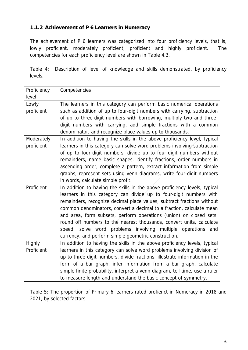# **1.1.2 Achievement of P 6 Learners in Numeracy**

The achievement of P 6 learners was categorized into four proficiency levels, that is, lowly proficient, moderately proficient, proficient and highly proficient. The competencies for each proficiency level are shown in Table 4.3.

Table 4: Description of level of knowledge and skills demonstrated, by proficiency levels.

| Proficiency   | Competencies                                                                |
|---------------|-----------------------------------------------------------------------------|
| level         |                                                                             |
| Lowly         | The learners in this category can perform basic numerical operations        |
| proficient    | such as addition of up to four-digit numbers with carrying, subtraction     |
|               | of up to three-digit numbers with borrowing, multiply two and three-        |
|               | digit numbers with carrying, add simple fractions with a common             |
|               | denominator, and recognize place values up to thousands.                    |
| Moderately    | In addition to having the skills in the above proficiency level, typical    |
| proficient    | learners in this category can solve word problems involving subtraction     |
|               | of up to four-digit numbers, divide up to four-digit numbers without        |
|               | remainders, name basic shapes, identify fractions, order numbers in         |
|               | ascending order, complete a pattern, extract information from simple        |
|               | graphs, represent sets using venn diagrams, write four-digit numbers        |
|               | in words, calculate simple profit.                                          |
| Proficient    | In addition to having the skills in the above proficiency levels, typical   |
|               | learners in this category can divide up to four-digit numbers with          |
|               | remainders, recognize decimal place values, subtract fractions without      |
|               | common denominators, convert a decimal to a fraction, calculate mean        |
|               | and area, form subsets, perform operations (union) on closed sets,          |
|               | round off numbers to the nearest thousands, convert units, calculate        |
|               | speed, solve word problems involving multiple operations and                |
|               | currency, and perform simple geometric construction.                        |
| <b>Highly</b> | In addition to having the skills in the above proficiency levels, typical   |
| Proficient    | learners in this category can solve word problems involving division of     |
|               | up to three-digit numbers, divide fractions, illustrate information in the  |
|               | form of a bar graph, infer information from a bar graph, calculate          |
|               | simple finite probability, interpret a venn diagram, tell time, use a ruler |
|               | to measure length and understand the basic concept of symmetry.             |

Table 5: The proportion of Primary 6 learners rated profienct in Numeracy in 2018 and 2021, by selected factors.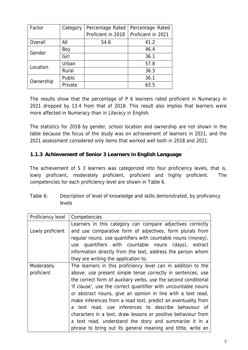| Factor    | Category | Percentage Rated   | Percentage Rated   |
|-----------|----------|--------------------|--------------------|
|           |          | Proficient in 2018 | Proficient in 2021 |
| Overall   | All      | 54.6               | 41.2               |
| Gender    | Boy      |                    | 46.4               |
|           | Girl     |                    | 36.1               |
| Location  | Urban    |                    | 57.8               |
|           | Rural    |                    | 36.3               |
| Ownership | Public   |                    | 36.1               |
|           | Private  |                    | 63.5               |

The results show that the percentage of P 6 learners rated proficient in Numeracy in 2021 dropped by 13.4 from that of 2018. This result also implies that learners were more affected in Numeracy than in Literacy in English.

The statistics for 2018 by gender, school location and ownership are not shown in the table because the focus of the study was on achievement of learners in 2021, and the 2021 assessment considered only items that worked well both in 2018 and 2021.

# **1.1.3 Achievement of Senior 3 Learners in English Language**

The achievement of S 3 learners was categorized into four proficiency levels, that is, lowly proficient, moderately proficient, proficient and highly proficient. The competencies for each proficiency level are shown in Table 6.

| Table 6: | Description of level of knowledge and skills demonstrated, by proficiency |  |
|----------|---------------------------------------------------------------------------|--|
|          | levels                                                                    |  |

| Proficiency level                                                         | Competencies                                                    |  |
|---------------------------------------------------------------------------|-----------------------------------------------------------------|--|
|                                                                           | Learners in this category can compare adjectives correctly      |  |
| Lowly proficient                                                          | and use comparative form of adjectives, form plurals from       |  |
|                                                                           | regular nouns, use quantifiers with countable nouns (money),    |  |
|                                                                           | quantifiers with countable nouns (days), extract<br>use         |  |
|                                                                           | information directly from the text, address the person whom     |  |
|                                                                           | they are writing the application to.                            |  |
| Moderately                                                                | The learners in this proficiency level can in addition to the   |  |
| proficient<br>above: use present simple tense correctly in sentences, use |                                                                 |  |
|                                                                           | the correct form of auxiliary verbs, use the second conditional |  |
|                                                                           | 'if clause', use the correct quantifier with uncountable nouns  |  |
|                                                                           | or abstract nouns, give an opinion in line with a text read,    |  |
|                                                                           | make inferences from a read text, predict an eventuality from   |  |
|                                                                           | a text read, use inferences to describe behaviour of            |  |
|                                                                           | characters in a text, draw lessons or positive behaviour from   |  |
|                                                                           | a text read, understand the story and summarize it in a         |  |
|                                                                           | phrase to bring out its general meaning and tittle, write an    |  |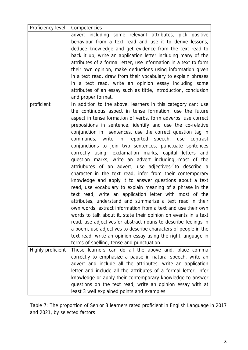| Proficiency level | Competencies                                                                                                                                                                                                                                                                                                                                                                                                                                                                                                                                                                                                                                                                                                                                                                                                                                                                                                                                                                                                                                                                                                                                                                                                                                                                                                            |
|-------------------|-------------------------------------------------------------------------------------------------------------------------------------------------------------------------------------------------------------------------------------------------------------------------------------------------------------------------------------------------------------------------------------------------------------------------------------------------------------------------------------------------------------------------------------------------------------------------------------------------------------------------------------------------------------------------------------------------------------------------------------------------------------------------------------------------------------------------------------------------------------------------------------------------------------------------------------------------------------------------------------------------------------------------------------------------------------------------------------------------------------------------------------------------------------------------------------------------------------------------------------------------------------------------------------------------------------------------|
|                   | advert including some relevant attributes, pick positive<br>behaviour from a text read and use it to derive lessons,<br>deduce knowledge and get evidence from the text read to<br>back it up, write an application letter including many of the<br>attributes of a formal letter, use information in a text to form<br>their own opinion, make deductions using information given<br>in a text read, draw from their vocabulary to explain phrases<br>in a text read, write an opinion essay including some<br>attributes of an essay such as tittle, introduction, conclusion<br>and proper format.                                                                                                                                                                                                                                                                                                                                                                                                                                                                                                                                                                                                                                                                                                                   |
| proficient        | In addition to the above, learners in this category can: use<br>the continuous aspect in tense formation, use the future<br>aspect in tense formation of verbs, form adverbs, use correct<br>prepositions in sentence, identify and use the co-relative<br>conjunction in sentences, use the correct question tag in<br>commands, write in reported speech, use<br>contrast<br>conjunctions to join two sentences, punctuate sentences<br>correctly using; exclamation marks, capital letters and<br>question marks, write an advert including most of the<br>attriubutes of an advert, use adjectives to describe a<br>character in the text read, infer from their contemporary<br>knowledge and apply it to answer questions about a text<br>read, use vocabulary to explain meaning of a phrase in the<br>text read, write an application letter with most of the<br>attributes, understand and summarize a text read in their<br>own words, extract information from a text and use their own<br>words to talk about it, state their opinion on events in a text<br>read, use adjectives or abstract nouns to describe feelings in<br>a poem, use adjectives to describe characters of people in the<br>text read, write an opinion essay using the right language in<br>terms of spelling, tense and punctuation. |
| Highly proficient | These learners can do all the above and, place comma<br>correctly to emphasize a pause in natural speech, write an<br>advert and include all the attributes, write an application<br>letter and include all the attributes of a formal letter, infer<br>knowledge or apply their contemporary knowledge to answer<br>questions on the text read, write an opinion essay with at<br>least 3 well explained points and examples                                                                                                                                                                                                                                                                                                                                                                                                                                                                                                                                                                                                                                                                                                                                                                                                                                                                                           |

Table 7: The proportion of Senior 3 learners rated proficient in English Language in 2017 and 2021, by selected factors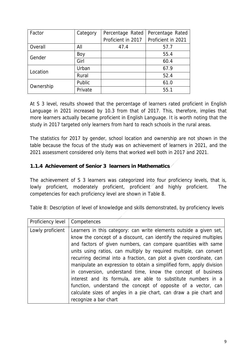| Factor    | Category | Percentage Rated   | Percentage Rated   |
|-----------|----------|--------------------|--------------------|
|           |          | Proficient in 2017 | Proficient in 2021 |
| Overall   | All      | 47.4               | 57.7               |
| Gender    | Boy      |                    | 55.4               |
|           | Girl     |                    | 60.4               |
|           | Urban    |                    | 67.9               |
| Location  | Rural    |                    | 52.4               |
| Ownership | Public   |                    | 61.0               |
|           | Private  |                    | 55.1               |

At S 3 level, results showed that the percentage of learners rated proficient in English Language in 2021 increased by 10.3 from that of 2017. This, therefore, implies that more learners actually became proficient in English Language. It is worth noting that the study in 2017 targeted only learners from hard to reach schools in the rural areas.

The statistics for 2017 by gender, school location and ownership are not shown in the table because the focus of the study was on achievement of learners in 2021, and the 2021 assessment considered only items that worked well both in 2017 and 2021.

# **1.1.4 Achievement of Senior 3 learners in Mathematics**

The achievement of S 3 learners was categorized into four proficiency levels, that is, lowly proficient, moderately proficient, proficient and highly proficient. The competencies for each proficiency level are shown in Table 8.

Table 8: Description of level of knowledge and skills demonstrated, by proficiency levels

| Proficiency level | Competences                                                                                                                                                                                                                                                                                                                                                           |
|-------------------|-----------------------------------------------------------------------------------------------------------------------------------------------------------------------------------------------------------------------------------------------------------------------------------------------------------------------------------------------------------------------|
| Lowly proficient  | Learners in this category: can write elements outside a given set,<br>know the concept of a discount, can identify the required multiples<br>and factors of given numbers, can compare quantities with same<br>units using ratios, can multiply by required multiple, can convert<br>recurring decimal into a fraction, can plot a given coordinate, can              |
|                   | manipulate an expression to obtain a simplified form, apply division<br>in conversion, understand time, know the concept of business<br>interest and its formula, are able to substitute numbers in a<br>function, understand the concept of opposite of a vector, can<br>calculate sizes of angles in a pie chart, can draw a pie chart and<br>recognize a bar chart |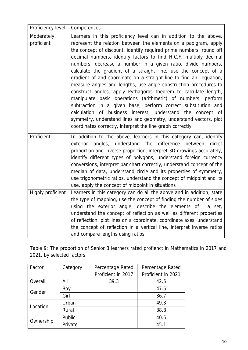| Proficiency level | Competences                                                                                                                                |
|-------------------|--------------------------------------------------------------------------------------------------------------------------------------------|
| Moderately        | Learners in this proficiency level can in addition to the above,                                                                           |
| proficient        | represent the relation between the elements on a papigram, apply                                                                           |
|                   | the concept of discount, identify required prime numbers, round off                                                                        |
|                   | decimal numbers, identify factors to find H.C.F, multiply decimal                                                                          |
|                   | numbers, decrease a number in a given ratio, divide numbers,                                                                               |
|                   | calculate the gradient of a straight line, use the concept of a<br>gradient of and coordinate on a straight line to find an equation,      |
|                   | measure angles and lengths, use angle construction procedures to                                                                           |
|                   | construct angles, apply Pythagoras theorem to calculate length,                                                                            |
|                   | manipulate basic operations (arithmetic) of numbers, perform                                                                               |
|                   | subtraction in a given base, perform correct substitution and                                                                              |
|                   | calculation of business interest, understand the concept of                                                                                |
|                   | symmetry, understand lines and geometry, understand vectors, plot                                                                          |
|                   | coordinates correctly, interpret the line graph correctly.                                                                                 |
| Proficient        | In addition to the above, learners in this category can, identify                                                                          |
|                   | angles, understand<br>the<br>difference<br>direct<br>exterior<br>between                                                                   |
|                   | proportion and inverse proportion, interpret 3D drawings accurately,                                                                       |
|                   | identify different types of polygons, understand foreign currency                                                                          |
|                   | conversions, interpret bar chart correctly, understand concept of the<br>median of data, understand circle and its properties of symmetry, |
|                   | use trigonometric ratios, understand the concept of midpoint and its                                                                       |
|                   | use, apply the concept of midpoint in situations                                                                                           |
| Highly proficient | Learners in this category can do all the above and in addition, state                                                                      |
|                   | the type of mapping, use the concept of finding the number of sides                                                                        |
|                   | using the exterior angle, describe the elements of<br>a set,                                                                               |
|                   | understand the concept of reflection as well as different properties                                                                       |
|                   | of reflection, plot lines on a coordinate, coordinate axes, understand                                                                     |
|                   | the concept of reflection in a vertical line, interpret inverse ratios<br>and compare lengths using ratios.                                |
|                   |                                                                                                                                            |

Table 9: The proportion of Senior 3 learners rated profienct in Mathematics in 2017 and 2021, by selected factors

| Factor    | Category | Percentage Rated   | Percentage Rated   |
|-----------|----------|--------------------|--------------------|
|           |          | Proficient in 2017 | Proficient in 2021 |
| Overall   | All      | 39.3               | 42.5               |
| Gender    | Boy      |                    | 47.5               |
|           | Girl     |                    | 36.7               |
|           | Urban    |                    | 49.3               |
| Location  | Rural    |                    | 38.8               |
| Ownership | Public   |                    | 40.5               |
|           | Private  |                    | 45.1               |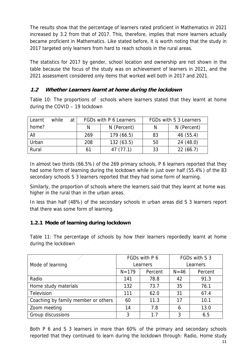The results show that the percentage of learners rated proficient in Mathematics in 2021 increased by 3.2 from that of 2017. This, therefore, implies that more learners actually became proficient in Mathematics. Like stated before, it is worth noting that the study in 2017 targeted only learners from hard to reach schools in the rural areas.

The statistics for 2017 by gender, school location and ownership are not shown in the table because the focus of the study was on achievement of learners in 2021, and the 2021 assessment considered only items that worked well both in 2017 and 2021.

# **1.2 Whether Learners learnt at home during the lockdown**

Table 10: The proportions of schools where learners stated that they learnt at home during the COVID – 19 lockdown

| Learnt | while | at | FGDs with P 6 Learners |             | FGDs with S 3 Learners |             |  |
|--------|-------|----|------------------------|-------------|------------------------|-------------|--|
| home?  |       |    | N                      | N (Percent) | N                      | N (Percent) |  |
| All    |       |    | 269                    | 179(66.5)   | 83                     | 46(55.4)    |  |
| Urban  |       |    | 208                    | 132(63.5)   | 50                     | 24(48.0)    |  |
| Rural  |       |    | 61                     | 47(77.1)    | 33                     | 22(66.7)    |  |

In almost two thirds (66.5%) of the 269 primary schools, P 6 learners reported that they had some form of learning during the lockdown while in just over half (55.4%) of the 83 secondary schools S 3 learners reported that they had some form of learning.

Similarly, the proportion of schools where the learners said that they learnt at home was higher in the rural than in the urban areas.

In less than half (48%) of the secondary schools in urban areas did S 3 learners report that there was some form of learning.

# **1.2.1 Mode of learning during lockdown**

Table 11: The percentage of schools by how their learners repordedly learnt at home during the lockdown

|                                     |           | FGDs with P 6 | FGDs with S 3 |         |
|-------------------------------------|-----------|---------------|---------------|---------|
| Mode of learning                    |           | Learners      | Learners      |         |
|                                     | $N = 179$ | Percent       | $N = 46$      | Percent |
| Radio                               | 141       | 78.8          | 42            | 91.3    |
| Home study materials                | 132       | 73.7          | 35            | 76.1    |
| Television                          | 111       | 62.0          | 31            | 67.4    |
| Coaching by family member or others | 60        | 11.3          | 17            | 10.1    |
| Zoom meeting                        | 14        | 7.8           | 6             | 13.0    |
| Group discussions                   | 3         | 1.7           | 3             | 6.5     |

Both P 6 and S 3 learners in more than 60% of the primary and secondary schools reported that they continued to learn during the lockdown through: Radio, Home study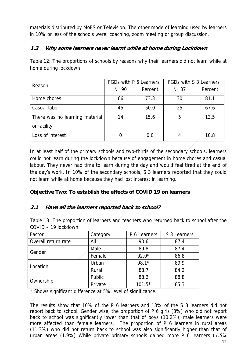materials distributed by MoES or Television. The other mode of learning used by learners in 10% or less of the schools were: coaching, zoom meeting or group discussion.

# **1.3 Why some learners never learnt while at home during Lockdown**

Table 12: The proportions of schools by reasons why their learners did not learn while at home during lockdown

| Reason                         | FGDs with P 6 Learners |         | FGDs with S 3 Learners |         |
|--------------------------------|------------------------|---------|------------------------|---------|
|                                | $N = 90$               | Percent | $N = 37$               | Percent |
| Home chores                    | 66                     | 73.3    | 30                     | 81.1    |
| Casual labor                   | 45                     | 50.0    | 25                     | 67.6    |
| There was no learning material | 14                     | 15.6    | 5                      | 13.5    |
| or facility                    |                        |         |                        |         |
| Loss of interest               |                        | 0.0     | 4                      | 10.8    |

In at least half of the primary schools and two-thirds of the secondary schools, learners could not learn during the lockdown because of engagement in home chores and casual labour. They never had time to learn during the day and would feel tired at the end of the day's work. In 10% of the secondary schools, S 3 learners reported that they could not learn while at home because they had lost interest in learning.

# **Objective Two: To establish the effects of COVID 19 on learners**

# **2.1 Have all the learners reported back to school?**

Table 13: The proportion of learners and teachers who returned back to school after the COVID – 19 lockdown.

| Factor              | Category | P 6 Learners | S 3 Learners |
|---------------------|----------|--------------|--------------|
| Overall return rate | All      | 90.6         | 87.4         |
| Gender              | Male     | 89.8         | 87.4         |
|                     | Female   | $92.0*$      | 86.8         |
| Location            | Urban    | 98.1*        | 89.9         |
|                     | Rural    | 88.7         | 84.2         |
| Ownership           | Public   | 88.2         | 88.8         |
|                     | Private  | $101.5*$     | 85.3         |

\* Shows significant difference at 5% level of significance.

The results show that 10% of the P 6 learners and 13% of the S 3 learners did not report back to school. Gender wise, the proportion of P 6 girls (8%) who did not report back to school was significantly lower than that of boys (10.2%), male learners were more affected than female learners. The proportion of P 6 learners in rural areas (11.3%) who did not return back to school was also significantly higher than that of urban areas (1.9%) While private primary schools gained more P 6 learners ( $1.5\%$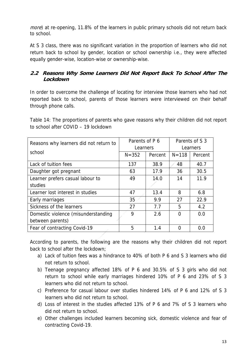more) at re-opening, 11.8% of the learners in public primary schools did not return back to school.

At S 3 class, there was no significant variation in the proportion of learners who did not return back to school by gender, location or school ownership i.e., they were affected equally gender-wise, location-wise or ownership-wise.

# **2.2 Reasons Why Some Learners Did Not Report Back To School After The Lockdown**

In order to overcome the challenge of locating for interview those learners who had not reported back to school, parents of those learners were interviewed on their behalf through phone calls.

Table 14: The proportions of parents who gave reasons why their children did not report to school after COVID – 19 lockdown

| Reasons why learners did not return to | Parents of P 6 |         | Parents of S 3 |         |
|----------------------------------------|----------------|---------|----------------|---------|
|                                        | Learners       |         | Learners       |         |
| school                                 | $N = 352$      | Percent | $N = 118$      | Percent |
| Lack of tuition fees                   | 137            | 38.9    | 48             | 40.7    |
| Daughter got pregnant                  | 63             | 17.9    | 36             | 30.5    |
| Learner prefers casual labour to       | 49             | 14.0    | 14             | 11.9    |
| studies                                |                |         |                |         |
| Learner lost interest in studies       | 47             | 13.4    | 8              | 6.8     |
| Early marriages                        | 35             | 9.9     | 27             | 22.9    |
| Sickness of the learners               | 27             | 7.7     | 5              | 4.2     |
| Domestic violence (misunderstanding    | 9              | 2.6     | ∩              | 0.0     |
| between parents)                       |                |         |                |         |
| Fear of contracting Covid-19           | 5              | 1.4     |                | 0.0     |

According to parents, the following are the reasons why their children did not report back to school after the lockdown;

- a) Lack of tuition fees was a hindrance to 40% of both P 6 and S 3 learners who did not return to school.
- b) Teenage pregnancy affected 18% of P 6 and 30.5% of S 3 girls who did not return to school while early marriages hindered 10% of P 6 and 23% of S 3 learners who did not return to school.
- c) Preference for casual labour over studies hindered 14% of P 6 and 12% of S 3 learners who did not return to school.
- d) Loss of interest in the studies affected 13% of P 6 and 7% of S 3 learners who did not return to school.
- e) Other challenges included learners becoming sick, domestic violence and fear of contracting Covid-19.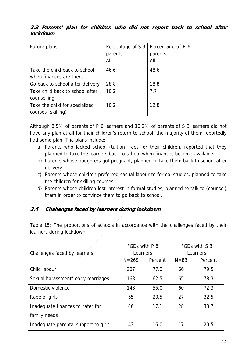| Future plans                     | Percentage of S 3 | Percentage of P 6 |
|----------------------------------|-------------------|-------------------|
|                                  | parents           | parents           |
|                                  | All               | All               |
| Take the child back to school    | 46.6              | 48.6              |
| when finances are there          |                   |                   |
| Go back to school after delivery | 28.8              | 18.8              |
| Take child back to school after  | 10.2              | 7.7               |
| counselling                      |                   |                   |
| Take the child for specialized   | 10.2              | 12.8              |
| courses (skilling)               |                   |                   |

## **2.3 Parents' plan for children who did not report back to school after lockdown**

Although 8.5% of parents of P 6 learners and 10.2% of parents of S 3 learners did not have any plan at all for their children's return to school, the majority of them reportedly had some plan. The plans include;

- a) Parents who lacked school (tuition) fees for their children, reported that they planned to take the learners back to school when finances become available.
- b) Parents whose daughters got pregnant, planned to take them back to school after delivery.
- c) Parents whose children preferred casual labour to formal studies, planned to take the children for skilling courses.
- d) Parents whose children lost interest in formal studies, planned to talk to (counsel) them in order to convince them to go back to school.

# **2.4 Challenges faced by learners during lockdown**

Table 15: The proportions of schools in accordance with the challenges faced by their learners during lockdown

|                                      | FGDs with P 6 |         | FGDs with S 3 |         |
|--------------------------------------|---------------|---------|---------------|---------|
| Challenges faced by learners         | Learners      |         | Learners      |         |
|                                      | $N = 269$     | Percent | $N = 83$      | Percent |
| Child labour                         | 207           | 77.0    | 66            | 79.5    |
| Sexual harassment/early marriages    | 168           | 62.5    | 65            | 78.3    |
| Domestic violence                    | 148           | 55.0    | 60            | 72.3    |
| Rape of girls                        | 55            | 20.5    | 27            | 32.5    |
| Inadequate finances to cater for     | 46            | 17.1    | 28            | 33.7    |
| family needs                         |               |         |               |         |
| Inadequate parental support to girls | 43            | 16.0    | 17            | 20.5    |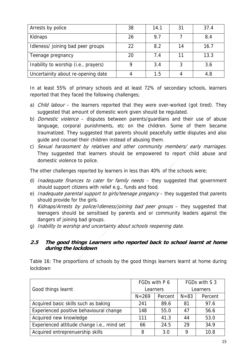| Arrests by police                    | 38 | 14.1 | 31 | 37.4 |
|--------------------------------------|----|------|----|------|
| Kidnaps                              | 26 | 9.7  |    | 8.4  |
| Idleness/ joining bad peer groups    | 22 | 8.2  | 14 | 16.7 |
| Teenage pregnancy                    | 20 | 7.4  | 11 | 13.3 |
| Inability to worship (i.e., prayers) |    | 3.4  |    | 3.6  |
| Uncertainity about re-opening date   |    | 1.5  |    | 4.8  |

In at least 55% of primary schools and at least 72% of secondary schools, learners reported that they faced the following challenges;

- a) *Child labour* the learners reported that they were over-worked (got tired). They suggested that amount of domestic work given should be regulated.
- b) *Domestic violence* disputes between parents/quardians and their use of abuse language, corporal punishments, etc on the children. Some of them became traumatized. They suggested that parents should peacefully settle disputes and also guide and counsel their children instead of abusing them.
- c) Sexual harassment by relatives and other community members/ early marriages. They suggested that learners should be empowered to report child abuse and domestic violence to police.

The other challenges reported by learners in less than 40% of the schools were;

- d) Inadequate finances to cater for family needs  $-$  they suggested that government should support citizens with relief e.g., funds and food.
- e) Inadequate parental support to girls/teenage pregancy they suggested that parents should provide for the girls.
- f) Kidnaps/Arrests by police/Idleness/joining bad peer groups they suggested that teenagers should be sensitised by parents and or community leaders against the dangers of joining bad groups.
- g) Inability to worship and uncertainty about schools reopening date.

## **2.5 The good things Learners who reported back to school learnt at home during the lockdown**

Table 16: The proportions of schools by the good things learners learnt at home during lockdown

|                                            | FGDs with P 6 |         | FGDs with S 3 |         |
|--------------------------------------------|---------------|---------|---------------|---------|
| Good things learnt                         | Learners      |         | Learners      |         |
|                                            | $N = 269$     | Percent | $N = 83$      | Percent |
| Acquired basic skills such as baking       | 241           | 89.6    | 81            | 97.6    |
| Experienced positive behavioural change    | 148           | 55.0    | 47            | 56.6    |
| Acquired new knowledge                     | 111           | 41.3    | 44            | 53.0    |
| Experienced attitude change i.e., mind set | 66            | 24.5    | 29            | 34.9    |
| Acquired entreprenuership skills           | 8             | 3.0     | Q             | 10.8    |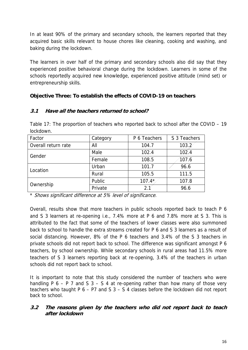In at least 90% of the primary and secondary schools, the learners reported that they acquired basic skills relevant to house chores like cleaning, cooking and washing, and baking during the lockdown.

The learners in over half of the primary and secondary schools also did say that they experienced positive behavioral change during the lockdown. Learners in some of the schools reportedly acquired new knowledge, experienced positive attitude (mind set) or entrepreneurship skills.

## **Objective Three: To establish the effects of COVID-19 on teachers**

## **3.1 Have all the teachers returned to school?**

Table 17: The proportion of teachers who reported back to school after the COVID – 19 lockdown.

| Factor              | Category | P 6 Teachers | S 3 Teachers |
|---------------------|----------|--------------|--------------|
| Overall return rate | All      | 104.7        | 103.2        |
| Gender              | Male     | 102.4        | 102.4        |
|                     | Female   | 108.5        | 107.6        |
| Location            | Urban    | 101.7        | 96.6         |
|                     | Rural    | 105.5        | 111.5        |
| Ownership           | Public   | $107.4*$     | 107.8        |
|                     | Private  | 2.1          | 96.6         |

\* Shows significant difference at 5% level of significance.

Overall, results show that more teachers in public schools reported back to teach P 6 and S 3 learners at re-opening i.e., 7.4% more at P 6 and 7.8% more at S 3. This is attributed to the fact that some of the teachers of lower classes were also summoned back to school to handle the extra streams created for P 6 and S 3 learners as a result of social distancing. However, 8% of the P 6 teachers and 3.4% of the S 3 teachers in private schools did not report back to school. The difference was significant amongst P 6 teachers, by school ownership. While secondary schools in rural areas had 11.5% more teachers of S 3 learners reporting back at re-opening, 3.4% of the teachers in urban schools did not report back to school.

It is important to note that this study considered the number of teachers who were handling P  $6 - P$  7 and S  $3 - S$  4 at re-opening rather than how many of those very teachers who taught P 6 – P7 and S 3 – S 4 classes before the lockdown did not report back to school.

## **3.2 The reasons given by the teachers who did not report back to teach after lockdown**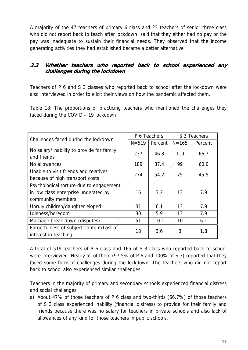A majority of the 47 teachers of primary 6 class and 23 teachers of senior three class who did not report back to teach after lockdown said that they either had no pay or the pay was inadequate to sustain their financial needs. They observed that the income generating activities they had established became a better alternative

# **3.3 Whether teachers who reported back to school experienced any challenges during the lockdown**

Teachers of P 6 and S 3 classes who reported back to school after the lockdown were also interviewed in order to elicit their views on how the pandemic affected them.

Table 18: The proportions of practicing teachers who mentioned the challenges they faced during the COVID – 19 lockdown

| Challenges faced during the lockdown      | P 6 Teachers |         | S 3 Teachers |         |
|-------------------------------------------|--------------|---------|--------------|---------|
|                                           | $N = 519$    | Percent | $N = 165$    | Percent |
| No salary/Inability to provide for family | 237          | 46.8    | 110          | 66.7    |
| and friends                               |              |         |              |         |
| No allowances                             | 189          | 37.4    | 99           | 60.0    |
| Unable to visit friends and relatives     | 274          | 54.2    | 75           | 45.5    |
| because of high transport costs           |              |         |              |         |
| Psychological torture due to engagement   |              |         |              |         |
| in low class enterprise underated by      | 16           | 3.2     | 13           | 7.9     |
| community members                         |              |         |              |         |
| Unruly children/daughter eloped           | 31           | 6.1     | 13           | 7.9     |
| Idleness/boredom                          | 30           | 5.9     | 13           | 7.9     |
| Marriage break down (disputes)            | 51           | 10.1    | 10           | 6.1     |
| Forgetfulness of subject content/Lost of  | 18           | 3.6     | 3            | 1.8     |
| interest in teaching                      |              |         |              |         |

A total of 519 teachers of P 6 class and 165 of S 3 class who reported back to school were interviewed. Nearly all of them (97.5% of P 6 and 100% of S 3) reported that they faced some form of challenges during the lockdown. The teachers who did not report back to school also experienced similar challenges.

Teachers in the majority of primary and secondary schools experienced financial distress and social challenges;

a) About 47% of those teachers of P 6 class and two-thirds (66.7%) of those teachers of S 3 class experienced inability (financial distress) to provide for their family and friends because there was no salary for teachers in private schools and also lack of allowances of any kind for those teachers in public schools.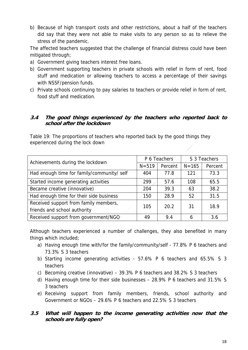b) Because of high transport costs and other restrictions, about a half of the teachers did say that they were not able to make visits to any person so as to relieve the stress of the pandemic.

The affected teachers suggested that the challenge of financial distress could have been mitigated through;

- a) Government giving teachers interest free loans.
- b) Government supporting teachers in private schools with relief in form of rent, food stuff and medication or allowing teachers to access a percentage of their savings with NSSF/pension funds.
- c) Private schools continuing to pay salaries to teachers or provide relief in form of rent, food stuff and medication.

#### **3.4 The good things experienced by the teachers who reported back to school after the lockdown**

Table 19: The proportions of teachers who reported back by the good things they experienced during the lock down

| Achievements during the lockdown           | P 6 Teachers |         | S 3 Teachers |         |
|--------------------------------------------|--------------|---------|--------------|---------|
|                                            | $N = 519$    | Percent | $N = 165$    | Percent |
| Had enough time for family/community/ self | 404          | 77.8    | 121          | 73.3    |
| Started income generating activities       | 299          | 57.6    | 108          | 65.5    |
| Became creative (innovative)               | 204          | 39.3    | 63           | 38.2    |
| Had enough time for their side business    | 150          | 28.9    | 52           | 31.5    |
| Received support from family members,      | 105          | 20.2    | 31           | 18.9    |
| friends and school authority               |              |         |              |         |
| Received support from government/NGO       | 49           | 9.4     | 6            | 3.6     |

Although teachers experienced a number of challenges, they also benefited in many things which included;

- a) Having enough time with/for the family/community/self 77.8% P 6 teachers and 73.3% S 3 teachers
- b) Starting income generating activities 57.6% P 6 teachers and 65.5% S 3 teachers
- c) Becoming creative (innovative) 39.3% P 6 teachers and 38.2% S 3 teachers
- d) Having enough time for their side businesses 28.9% P 6 teachers and 31.5% S 3 teachers
- e) Receiving support from family members, friends, school authority and Government or NGOs – 29.6% P 6 teachers and 22.5% S 3 teachers

## **3.5 What will happen to the income generating activities now that the schools are fully open?**